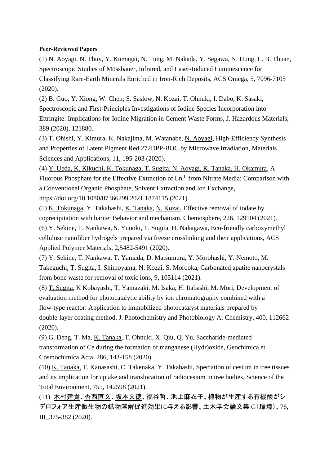# **Peer-Reviewed Papers**

(1) N. Aoyagi, N. Thuy, Y. Kumagai, N. Tung, M. Nakada, Y. Segawa, N. Hung, L. B. Thuan, Spectroscopic Studies of Mössbauer, Infrared, and Laser-Induced Luminescence for Classifying Rare-Earth Minerals Enriched in Iron-Rich Deposits, ACS Omega, 5, 7096-7105 (2020).

(2) B. Guo, Y. Xiong, W. Chen; S. Saslow, N. Kozai, T. Ohnuki, I. Dabo, K. Sasaki, Spectroscopic and First-Principles Investigations of Iodine Species Incorporation into Ettringite: Implications for Iodine Migration in Cement Waste Forms, J. Hazardous Materials, 389 (2020), 121880.

(3) T. Ohishi, Y. Kimura, K. Nakajima, M. Watanabe, N. Aoyagi, High-Efficiency Synthesis and Properties of Latent Pigment Red 272DPP-BOC by Microwave Irradiation, Materials Sciences and Applications, 11, 195-203 (2020).

(4) Y. Ueda, K. Kikuchi, K. Tokunaga, T. Sugita, N. Aoyagi, K. Tanaka, H. Okamura, A Fluorous Phosphate for the Effective Extraction of Ln<sup>III</sup> from Nitrate Media: Comparison with a Conventional Organic Phosphate, Solvent Extraction and Ion Exchange, https://doi.org/10.1080/07366299.2021.1874115 (2021).

(5) K. Tokunaga, Y. Takahashi, K. Tanaka, N. Kozai, Effective removal of iodate by coprecipitation with barite: Behavior and mechanism, Chemosphere, 226, 129104 (2021).

(6) Y. Sekine, T. Nankawa, S. Yunoki, T. Sugita, H. Nakagawa, Eco-friendly carboxymethyl cellulose nanofiber hydrogels prepared via freeze crosslinking and their applications, ACS Applied Polymer Materials, 2,5482-5491 (2020).

(7) Y. Sekine, T. Nankawa, T. Yamada, D. Matsumura, Y. Morohashi, Y. Nemoto, M. Takeguchi, T. Sugita, I. Shimoyama, N. Kozai, S. Morooka, Carbonated apatite nanocrystals from bone waste for removal of toxic ions, 9, 105114 (2021).

(8) T. Sugita, K Kobayashi, T, Yamazaki, M. Isaka, H. Itabashi, M. Mori, Development of evaluation method for photocatalytic ability by ion chromatography combined with a flow-type reactor: Application to immobilized photocatalyst materials prepared by double-layer coating method, J. Photochemistry and Photobiology A: Chemistry, 400, 112662 (2020).

(9) G. Deng, T. Ma, K. Tanaka, T. Ohnuki, X. Qiu, Q. Yu, Saccharide-mediated transformation of Ce during the formation of manganese (Hydr)oxide, Geochimica et Cosmochimica Acta, 286, 143-158 (2020).

(10) K. Tanaka, T. Kanasashi, C. Takenaka, Y. Takahashi, Speciation of cesium in tree tissues and its implication for uptake and translocation of radiocesium in tree bodies, Science of the Total Environment, 755, 142598 (2021).

(11) 木村建貴、香西直文、坂本文徳、福谷哲、池上麻衣子、植物が生産する有機酸がシ デロフォア生産微生物の鉱物溶解促進効果に与える影響、土木学会論文集 G(環境)、76, III\_375-382 (2020).